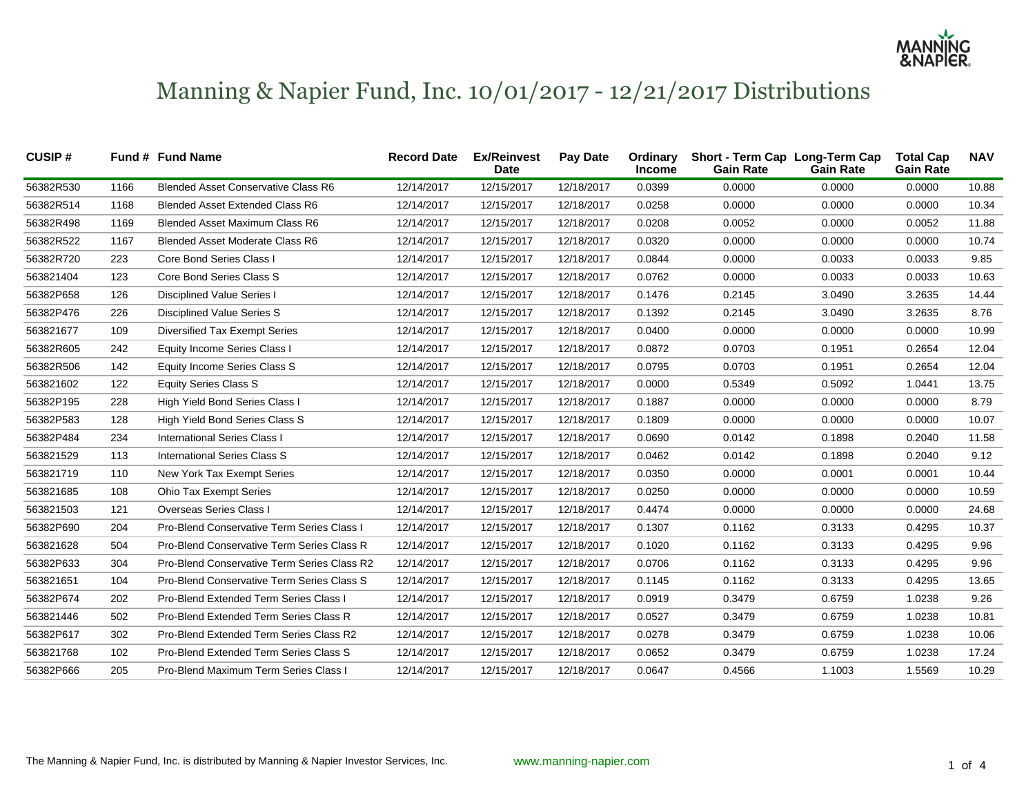

## Manning & Napier Fund, Inc. 10/01/2017 - 12/21/2017 Distributions

| <b>CUSIP#</b> |      | Fund # Fund Name                            | <b>Record Date</b> | <b>Ex/Reinvest</b><br><b>Date</b> | Pay Date   | Ordinary<br><b>Income</b> | Short - Term Cap Long-Term Cap<br><b>Gain Rate</b> | <b>Gain Rate</b> | <b>Total Cap</b><br><b>Gain Rate</b> | <b>NAV</b> |
|---------------|------|---------------------------------------------|--------------------|-----------------------------------|------------|---------------------------|----------------------------------------------------|------------------|--------------------------------------|------------|
| 56382R530     | 1166 | <b>Blended Asset Conservative Class R6</b>  | 12/14/2017         | 12/15/2017                        | 12/18/2017 | 0.0399                    | 0.0000                                             | 0.0000           | 0.0000                               | 10.88      |
| 56382R514     | 1168 | <b>Blended Asset Extended Class R6</b>      | 12/14/2017         | 12/15/2017                        | 12/18/2017 | 0.0258                    | 0.0000                                             | 0.0000           | 0.0000                               | 10.34      |
| 56382R498     | 1169 | <b>Blended Asset Maximum Class R6</b>       | 12/14/2017         | 12/15/2017                        | 12/18/2017 | 0.0208                    | 0.0052                                             | 0.0000           | 0.0052                               | 11.88      |
| 56382R522     | 1167 | <b>Blended Asset Moderate Class R6</b>      | 12/14/2017         | 12/15/2017                        | 12/18/2017 | 0.0320                    | 0.0000                                             | 0.0000           | 0.0000                               | 10.74      |
| 56382R720     | 223  | Core Bond Series Class I                    | 12/14/2017         | 12/15/2017                        | 12/18/2017 | 0.0844                    | 0.0000                                             | 0.0033           | 0.0033                               | 9.85       |
| 563821404     | 123  | Core Bond Series Class S                    | 12/14/2017         | 12/15/2017                        | 12/18/2017 | 0.0762                    | 0.0000                                             | 0.0033           | 0.0033                               | 10.63      |
| 56382P658     | 126  | <b>Disciplined Value Series I</b>           | 12/14/2017         | 12/15/2017                        | 12/18/2017 | 0.1476                    | 0.2145                                             | 3.0490           | 3.2635                               | 14.44      |
| 56382P476     | 226  | <b>Disciplined Value Series S</b>           | 12/14/2017         | 12/15/2017                        | 12/18/2017 | 0.1392                    | 0.2145                                             | 3.0490           | 3.2635                               | 8.76       |
| 563821677     | 109  | <b>Diversified Tax Exempt Series</b>        | 12/14/2017         | 12/15/2017                        | 12/18/2017 | 0.0400                    | 0.0000                                             | 0.0000           | 0.0000                               | 10.99      |
| 56382R605     | 242  | Equity Income Series Class I                | 12/14/2017         | 12/15/2017                        | 12/18/2017 | 0.0872                    | 0.0703                                             | 0.1951           | 0.2654                               | 12.04      |
| 56382R506     | 142  | Equity Income Series Class S                | 12/14/2017         | 12/15/2017                        | 12/18/2017 | 0.0795                    | 0.0703                                             | 0.1951           | 0.2654                               | 12.04      |
| 563821602     | 122  | <b>Equity Series Class S</b>                | 12/14/2017         | 12/15/2017                        | 12/18/2017 | 0.0000                    | 0.5349                                             | 0.5092           | 1.0441                               | 13.75      |
| 56382P195     | 228  | High Yield Bond Series Class I              | 12/14/2017         | 12/15/2017                        | 12/18/2017 | 0.1887                    | 0.0000                                             | 0.0000           | 0.0000                               | 8.79       |
| 56382P583     | 128  | High Yield Bond Series Class S              | 12/14/2017         | 12/15/2017                        | 12/18/2017 | 0.1809                    | 0.0000                                             | 0.0000           | 0.0000                               | 10.07      |
| 56382P484     | 234  | <b>International Series Class I</b>         | 12/14/2017         | 12/15/2017                        | 12/18/2017 | 0.0690                    | 0.0142                                             | 0.1898           | 0.2040                               | 11.58      |
| 563821529     | 113  | International Series Class S                | 12/14/2017         | 12/15/2017                        | 12/18/2017 | 0.0462                    | 0.0142                                             | 0.1898           | 0.2040                               | 9.12       |
| 563821719     | 110  | New York Tax Exempt Series                  | 12/14/2017         | 12/15/2017                        | 12/18/2017 | 0.0350                    | 0.0000                                             | 0.0001           | 0.0001                               | 10.44      |
| 563821685     | 108  | <b>Ohio Tax Exempt Series</b>               | 12/14/2017         | 12/15/2017                        | 12/18/2017 | 0.0250                    | 0.0000                                             | 0.0000           | 0.0000                               | 10.59      |
| 563821503     | 121  | <b>Overseas Series Class I</b>              | 12/14/2017         | 12/15/2017                        | 12/18/2017 | 0.4474                    | 0.0000                                             | 0.0000           | 0.0000                               | 24.68      |
| 56382P690     | 204  | Pro-Blend Conservative Term Series Class I  | 12/14/2017         | 12/15/2017                        | 12/18/2017 | 0.1307                    | 0.1162                                             | 0.3133           | 0.4295                               | 10.37      |
| 563821628     | 504  | Pro-Blend Conservative Term Series Class R  | 12/14/2017         | 12/15/2017                        | 12/18/2017 | 0.1020                    | 0.1162                                             | 0.3133           | 0.4295                               | 9.96       |
| 56382P633     | 304  | Pro-Blend Conservative Term Series Class R2 | 12/14/2017         | 12/15/2017                        | 12/18/2017 | 0.0706                    | 0.1162                                             | 0.3133           | 0.4295                               | 9.96       |
| 563821651     | 104  | Pro-Blend Conservative Term Series Class S  | 12/14/2017         | 12/15/2017                        | 12/18/2017 | 0.1145                    | 0.1162                                             | 0.3133           | 0.4295                               | 13.65      |
| 56382P674     | 202  | Pro-Blend Extended Term Series Class I      | 12/14/2017         | 12/15/2017                        | 12/18/2017 | 0.0919                    | 0.3479                                             | 0.6759           | 1.0238                               | 9.26       |
| 563821446     | 502  | Pro-Blend Extended Term Series Class R      | 12/14/2017         | 12/15/2017                        | 12/18/2017 | 0.0527                    | 0.3479                                             | 0.6759           | 1.0238                               | 10.81      |
| 56382P617     | 302  | Pro-Blend Extended Term Series Class R2     | 12/14/2017         | 12/15/2017                        | 12/18/2017 | 0.0278                    | 0.3479                                             | 0.6759           | 1.0238                               | 10.06      |
| 563821768     | 102  | Pro-Blend Extended Term Series Class S      | 12/14/2017         | 12/15/2017                        | 12/18/2017 | 0.0652                    | 0.3479                                             | 0.6759           | 1.0238                               | 17.24      |
| 56382P666     | 205  | Pro-Blend Maximum Term Series Class I       | 12/14/2017         | 12/15/2017                        | 12/18/2017 | 0.0647                    | 0.4566                                             | 1.1003           | 1.5569                               | 10.29      |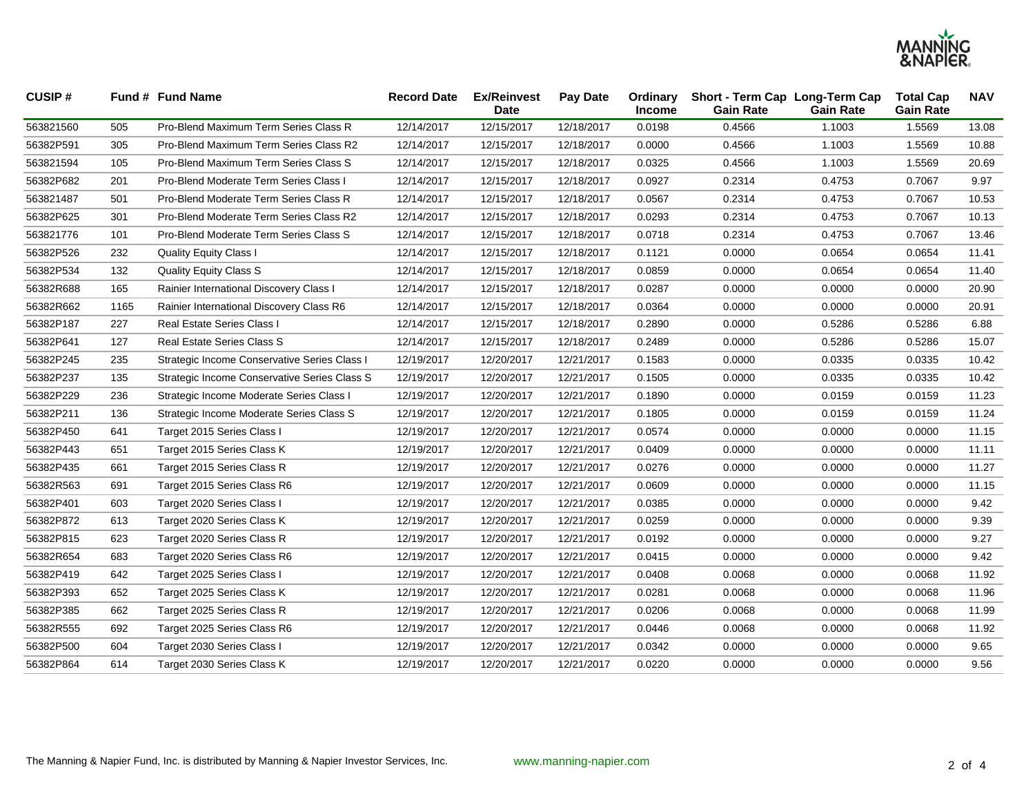

| <b>CUSIP#</b> |      | Fund # Fund Name                             | <b>Record Date</b> | <b>Ex/Reinvest</b><br><b>Date</b> | Pay Date   | Ordinary<br><b>Income</b> | Short - Term Cap Long-Term Cap<br><b>Gain Rate</b> | <b>Gain Rate</b> | <b>Total Cap</b><br><b>Gain Rate</b> | <b>NAV</b> |
|---------------|------|----------------------------------------------|--------------------|-----------------------------------|------------|---------------------------|----------------------------------------------------|------------------|--------------------------------------|------------|
| 563821560     | 505  | Pro-Blend Maximum Term Series Class R        | 12/14/2017         | 12/15/2017                        | 12/18/2017 | 0.0198                    | 0.4566                                             | 1.1003           | 1.5569                               | 13.08      |
| 56382P591     | 305  | Pro-Blend Maximum Term Series Class R2       | 12/14/2017         | 12/15/2017                        | 12/18/2017 | 0.0000                    | 0.4566                                             | 1.1003           | 1.5569                               | 10.88      |
| 563821594     | 105  | Pro-Blend Maximum Term Series Class S        | 12/14/2017         | 12/15/2017                        | 12/18/2017 | 0.0325                    | 0.4566                                             | 1.1003           | 1.5569                               | 20.69      |
| 56382P682     | 201  | Pro-Blend Moderate Term Series Class I       | 12/14/2017         | 12/15/2017                        | 12/18/2017 | 0.0927                    | 0.2314                                             | 0.4753           | 0.7067                               | 9.97       |
| 563821487     | 501  | Pro-Blend Moderate Term Series Class R       | 12/14/2017         | 12/15/2017                        | 12/18/2017 | 0.0567                    | 0.2314                                             | 0.4753           | 0.7067                               | 10.53      |
| 56382P625     | 301  | Pro-Blend Moderate Term Series Class R2      | 12/14/2017         | 12/15/2017                        | 12/18/2017 | 0.0293                    | 0.2314                                             | 0.4753           | 0.7067                               | 10.13      |
| 563821776     | 101  | Pro-Blend Moderate Term Series Class S       | 12/14/2017         | 12/15/2017                        | 12/18/2017 | 0.0718                    | 0.2314                                             | 0.4753           | 0.7067                               | 13.46      |
| 56382P526     | 232  | <b>Quality Equity Class I</b>                | 12/14/2017         | 12/15/2017                        | 12/18/2017 | 0.1121                    | 0.0000                                             | 0.0654           | 0.0654                               | 11.41      |
| 56382P534     | 132  | <b>Quality Equity Class S</b>                | 12/14/2017         | 12/15/2017                        | 12/18/2017 | 0.0859                    | 0.0000                                             | 0.0654           | 0.0654                               | 11.40      |
| 56382R688     | 165  | Rainier International Discovery Class I      | 12/14/2017         | 12/15/2017                        | 12/18/2017 | 0.0287                    | 0.0000                                             | 0.0000           | 0.0000                               | 20.90      |
| 56382R662     | 1165 | Rainier International Discovery Class R6     | 12/14/2017         | 12/15/2017                        | 12/18/2017 | 0.0364                    | 0.0000                                             | 0.0000           | 0.0000                               | 20.91      |
| 56382P187     | 227  | Real Estate Series Class I                   | 12/14/2017         | 12/15/2017                        | 12/18/2017 | 0.2890                    | 0.0000                                             | 0.5286           | 0.5286                               | 6.88       |
| 56382P641     | 127  | Real Estate Series Class S                   | 12/14/2017         | 12/15/2017                        | 12/18/2017 | 0.2489                    | 0.0000                                             | 0.5286           | 0.5286                               | 15.07      |
| 56382P245     | 235  | Strategic Income Conservative Series Class I | 12/19/2017         | 12/20/2017                        | 12/21/2017 | 0.1583                    | 0.0000                                             | 0.0335           | 0.0335                               | 10.42      |
| 56382P237     | 135  | Strategic Income Conservative Series Class S | 12/19/2017         | 12/20/2017                        | 12/21/2017 | 0.1505                    | 0.0000                                             | 0.0335           | 0.0335                               | 10.42      |
| 56382P229     | 236  | Strategic Income Moderate Series Class I     | 12/19/2017         | 12/20/2017                        | 12/21/2017 | 0.1890                    | 0.0000                                             | 0.0159           | 0.0159                               | 11.23      |
| 56382P211     | 136  | Strategic Income Moderate Series Class S     | 12/19/2017         | 12/20/2017                        | 12/21/2017 | 0.1805                    | 0.0000                                             | 0.0159           | 0.0159                               | 11.24      |
| 56382P450     | 641  | Target 2015 Series Class I                   | 12/19/2017         | 12/20/2017                        | 12/21/2017 | 0.0574                    | 0.0000                                             | 0.0000           | 0.0000                               | 11.15      |
| 56382P443     | 651  | Target 2015 Series Class K                   | 12/19/2017         | 12/20/2017                        | 12/21/2017 | 0.0409                    | 0.0000                                             | 0.0000           | 0.0000                               | 11.11      |
| 56382P435     | 661  | Target 2015 Series Class R                   | 12/19/2017         | 12/20/2017                        | 12/21/2017 | 0.0276                    | 0.0000                                             | 0.0000           | 0.0000                               | 11.27      |
| 56382R563     | 691  | Target 2015 Series Class R6                  | 12/19/2017         | 12/20/2017                        | 12/21/2017 | 0.0609                    | 0.0000                                             | 0.0000           | 0.0000                               | 11.15      |
| 56382P401     | 603  | Target 2020 Series Class I                   | 12/19/2017         | 12/20/2017                        | 12/21/2017 | 0.0385                    | 0.0000                                             | 0.0000           | 0.0000                               | 9.42       |
| 56382P872     | 613  | Target 2020 Series Class K                   | 12/19/2017         | 12/20/2017                        | 12/21/2017 | 0.0259                    | 0.0000                                             | 0.0000           | 0.0000                               | 9.39       |
| 56382P815     | 623  | Target 2020 Series Class R                   | 12/19/2017         | 12/20/2017                        | 12/21/2017 | 0.0192                    | 0.0000                                             | 0.0000           | 0.0000                               | 9.27       |
| 56382R654     | 683  | Target 2020 Series Class R6                  | 12/19/2017         | 12/20/2017                        | 12/21/2017 | 0.0415                    | 0.0000                                             | 0.0000           | 0.0000                               | 9.42       |
| 56382P419     | 642  | Target 2025 Series Class I                   | 12/19/2017         | 12/20/2017                        | 12/21/2017 | 0.0408                    | 0.0068                                             | 0.0000           | 0.0068                               | 11.92      |
| 56382P393     | 652  | Target 2025 Series Class K                   | 12/19/2017         | 12/20/2017                        | 12/21/2017 | 0.0281                    | 0.0068                                             | 0.0000           | 0.0068                               | 11.96      |
| 56382P385     | 662  | Target 2025 Series Class R                   | 12/19/2017         | 12/20/2017                        | 12/21/2017 | 0.0206                    | 0.0068                                             | 0.0000           | 0.0068                               | 11.99      |
| 56382R555     | 692  | Target 2025 Series Class R6                  | 12/19/2017         | 12/20/2017                        | 12/21/2017 | 0.0446                    | 0.0068                                             | 0.0000           | 0.0068                               | 11.92      |
| 56382P500     | 604  | Target 2030 Series Class I                   | 12/19/2017         | 12/20/2017                        | 12/21/2017 | 0.0342                    | 0.0000                                             | 0.0000           | 0.0000                               | 9.65       |
| 56382P864     | 614  | Target 2030 Series Class K                   | 12/19/2017         | 12/20/2017                        | 12/21/2017 | 0.0220                    | 0.0000                                             | 0.0000           | 0.0000                               | 9.56       |
|               |      |                                              |                    |                                   |            |                           |                                                    |                  |                                      |            |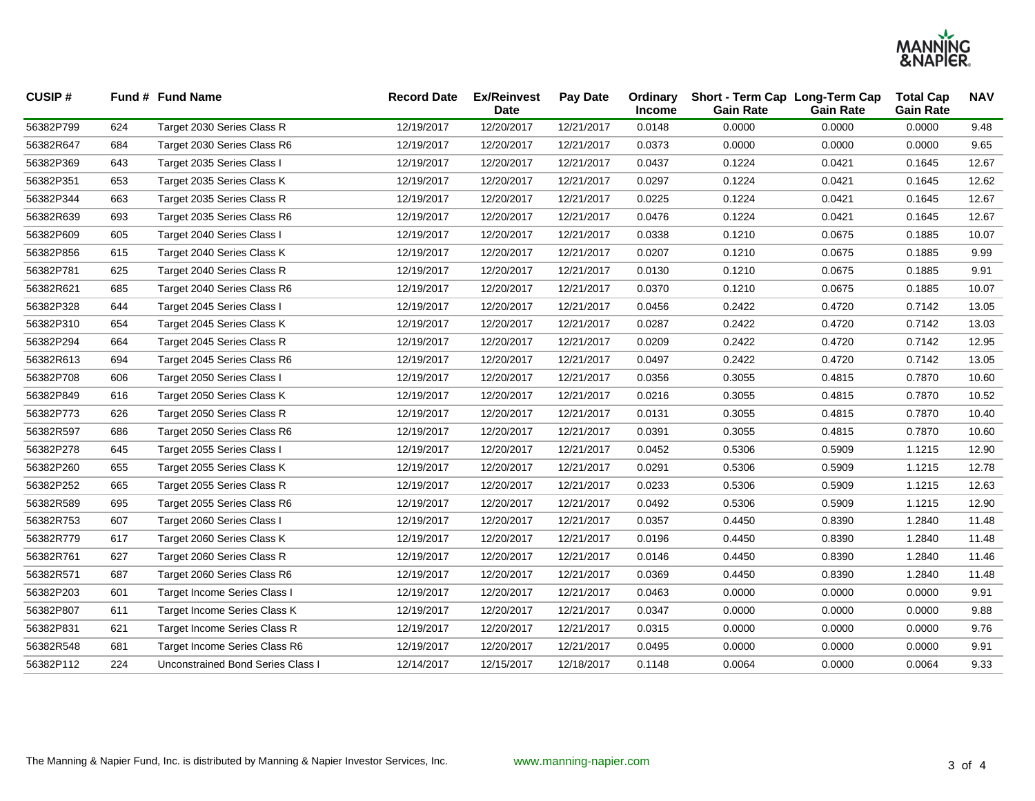

|     |                                   | <b>Record Date</b> | <b>Ex/Reinvest</b><br><b>Date</b> | <b>Pay Date</b> | Ordinary<br><b>Income</b> | <b>Gain Rate</b> | <b>Gain Rate</b> | <b>Total Cap</b><br><b>Gain Rate</b> | <b>NAV</b> |
|-----|-----------------------------------|--------------------|-----------------------------------|-----------------|---------------------------|------------------|------------------|--------------------------------------|------------|
| 624 | Target 2030 Series Class R        | 12/19/2017         | 12/20/2017                        | 12/21/2017      | 0.0148                    | 0.0000           | 0.0000           | 0.0000                               | 9.48       |
| 684 | Target 2030 Series Class R6       | 12/19/2017         | 12/20/2017                        | 12/21/2017      | 0.0373                    | 0.0000           | 0.0000           | 0.0000                               | 9.65       |
| 643 | Target 2035 Series Class I        | 12/19/2017         | 12/20/2017                        | 12/21/2017      | 0.0437                    | 0.1224           | 0.0421           | 0.1645                               | 12.67      |
| 653 | Target 2035 Series Class K        | 12/19/2017         | 12/20/2017                        | 12/21/2017      | 0.0297                    | 0.1224           | 0.0421           | 0.1645                               | 12.62      |
| 663 | Target 2035 Series Class R        | 12/19/2017         | 12/20/2017                        | 12/21/2017      | 0.0225                    | 0.1224           | 0.0421           | 0.1645                               | 12.67      |
| 693 | Target 2035 Series Class R6       | 12/19/2017         | 12/20/2017                        | 12/21/2017      | 0.0476                    | 0.1224           | 0.0421           | 0.1645                               | 12.67      |
| 605 | Target 2040 Series Class I        | 12/19/2017         | 12/20/2017                        | 12/21/2017      | 0.0338                    | 0.1210           | 0.0675           | 0.1885                               | 10.07      |
| 615 | Target 2040 Series Class K        | 12/19/2017         | 12/20/2017                        | 12/21/2017      | 0.0207                    | 0.1210           | 0.0675           | 0.1885                               | 9.99       |
| 625 | Target 2040 Series Class R        | 12/19/2017         | 12/20/2017                        | 12/21/2017      | 0.0130                    | 0.1210           | 0.0675           | 0.1885                               | 9.91       |
| 685 | Target 2040 Series Class R6       | 12/19/2017         | 12/20/2017                        | 12/21/2017      | 0.0370                    | 0.1210           | 0.0675           | 0.1885                               | 10.07      |
| 644 | Target 2045 Series Class I        | 12/19/2017         | 12/20/2017                        | 12/21/2017      | 0.0456                    | 0.2422           | 0.4720           | 0.7142                               | 13.05      |
| 654 | Target 2045 Series Class K        | 12/19/2017         | 12/20/2017                        | 12/21/2017      | 0.0287                    | 0.2422           | 0.4720           | 0.7142                               | 13.03      |
| 664 | Target 2045 Series Class R        | 12/19/2017         | 12/20/2017                        | 12/21/2017      | 0.0209                    | 0.2422           | 0.4720           | 0.7142                               | 12.95      |
| 694 | Target 2045 Series Class R6       | 12/19/2017         | 12/20/2017                        | 12/21/2017      | 0.0497                    | 0.2422           | 0.4720           | 0.7142                               | 13.05      |
| 606 | Target 2050 Series Class I        | 12/19/2017         | 12/20/2017                        | 12/21/2017      | 0.0356                    | 0.3055           | 0.4815           | 0.7870                               | 10.60      |
| 616 | Target 2050 Series Class K        | 12/19/2017         | 12/20/2017                        | 12/21/2017      | 0.0216                    | 0.3055           | 0.4815           | 0.7870                               | 10.52      |
| 626 | Target 2050 Series Class R        | 12/19/2017         | 12/20/2017                        | 12/21/2017      | 0.0131                    | 0.3055           | 0.4815           | 0.7870                               | 10.40      |
| 686 | Target 2050 Series Class R6       | 12/19/2017         | 12/20/2017                        | 12/21/2017      | 0.0391                    | 0.3055           | 0.4815           | 0.7870                               | 10.60      |
| 645 | Target 2055 Series Class I        | 12/19/2017         | 12/20/2017                        | 12/21/2017      | 0.0452                    | 0.5306           | 0.5909           | 1.1215                               | 12.90      |
| 655 | Target 2055 Series Class K        | 12/19/2017         | 12/20/2017                        | 12/21/2017      | 0.0291                    | 0.5306           | 0.5909           | 1.1215                               | 12.78      |
| 665 | Target 2055 Series Class R        | 12/19/2017         | 12/20/2017                        | 12/21/2017      | 0.0233                    | 0.5306           | 0.5909           | 1.1215                               | 12.63      |
| 695 | Target 2055 Series Class R6       | 12/19/2017         | 12/20/2017                        | 12/21/2017      | 0.0492                    | 0.5306           | 0.5909           | 1.1215                               | 12.90      |
| 607 | Target 2060 Series Class I        | 12/19/2017         | 12/20/2017                        | 12/21/2017      | 0.0357                    | 0.4450           | 0.8390           | 1.2840                               | 11.48      |
| 617 | Target 2060 Series Class K        | 12/19/2017         | 12/20/2017                        | 12/21/2017      | 0.0196                    | 0.4450           | 0.8390           | 1.2840                               | 11.48      |
| 627 | Target 2060 Series Class R        | 12/19/2017         | 12/20/2017                        | 12/21/2017      | 0.0146                    | 0.4450           | 0.8390           | 1.2840                               | 11.46      |
| 687 | Target 2060 Series Class R6       | 12/19/2017         | 12/20/2017                        | 12/21/2017      | 0.0369                    | 0.4450           | 0.8390           | 1.2840                               | 11.48      |
| 601 | Target Income Series Class I      | 12/19/2017         | 12/20/2017                        | 12/21/2017      | 0.0463                    | 0.0000           | 0.0000           | 0.0000                               | 9.91       |
| 611 | Target Income Series Class K      | 12/19/2017         | 12/20/2017                        | 12/21/2017      | 0.0347                    | 0.0000           | 0.0000           | 0.0000                               | 9.88       |
| 621 | Target Income Series Class R      | 12/19/2017         | 12/20/2017                        | 12/21/2017      | 0.0315                    | 0.0000           | 0.0000           | 0.0000                               | 9.76       |
| 681 | Target Income Series Class R6     | 12/19/2017         | 12/20/2017                        | 12/21/2017      | 0.0495                    | 0.0000           | 0.0000           | 0.0000                               | 9.91       |
| 224 | Unconstrained Bond Series Class I | 12/14/2017         | 12/15/2017                        | 12/18/2017      | 0.1148                    | 0.0064           | 0.0000           | 0.0064                               | 9.33       |
|     |                                   | Fund # Fund Name   |                                   |                 |                           |                  |                  | Short - Term Cap Long-Term Cap       |            |